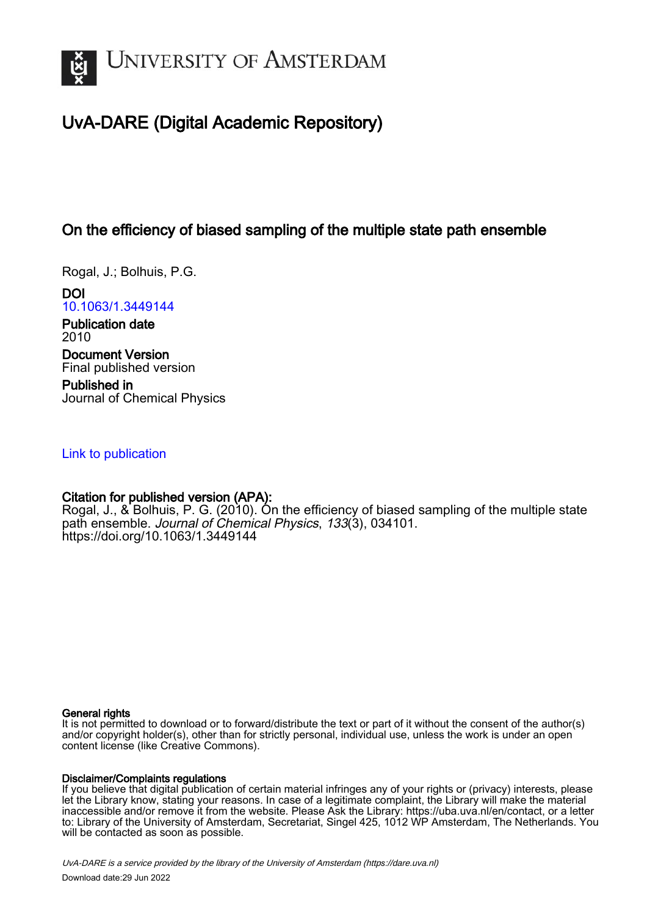

# UvA-DARE (Digital Academic Repository)

# On the efficiency of biased sampling of the multiple state path ensemble

Rogal, J.; Bolhuis, P.G.

DOI [10.1063/1.3449144](https://doi.org/10.1063/1.3449144)

Publication date 2010 Document Version Final published version

Published in Journal of Chemical Physics

## [Link to publication](https://dare.uva.nl/personal/pure/en/publications/on-the-efficiency-of-biased-sampling-of-the-multiple-state-path-ensemble(7c037ce5-bafe-4548-8619-ea14661ff1f5).html)

## Citation for published version (APA):

Rogal, J., & Bolhuis, P. G. (2010). On the efficiency of biased sampling of the multiple state path ensemble. Journal of Chemical Physics, 133(3), 034101. <https://doi.org/10.1063/1.3449144>

### General rights

It is not permitted to download or to forward/distribute the text or part of it without the consent of the author(s) and/or copyright holder(s), other than for strictly personal, individual use, unless the work is under an open content license (like Creative Commons).

## Disclaimer/Complaints regulations

If you believe that digital publication of certain material infringes any of your rights or (privacy) interests, please let the Library know, stating your reasons. In case of a legitimate complaint, the Library will make the material inaccessible and/or remove it from the website. Please Ask the Library: https://uba.uva.nl/en/contact, or a letter to: Library of the University of Amsterdam, Secretariat, Singel 425, 1012 WP Amsterdam, The Netherlands. You will be contacted as soon as possible.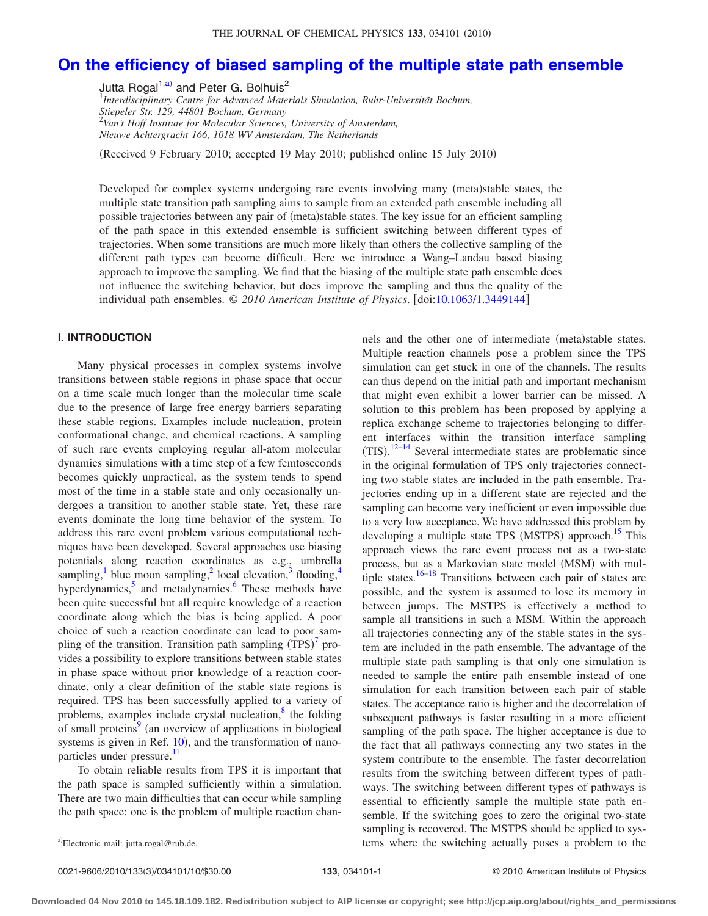# **[On the efficiency of biased sampling of the multiple state path ensemble](http://dx.doi.org/10.1063/1.3449144)**

Jutta Rogal<sup>1[,a](#page-1-0))</sup> and Peter G. Bolhuis<sup>2</sup>

1 *Interdisciplinary Centre for Advanced Materials Simulation, Ruhr-Universität Bochum, Stiepeler Str. 129, 44801 Bochum, Germany* 2 *Van't Hoff Institute for Molecular Sciences, University of Amsterdam, Nieuwe Achtergracht 166, 1018 WV Amsterdam, The Netherlands*

(Received 9 February 2010; accepted 19 May 2010; published online 15 July 2010)

Developed for complex systems undergoing rare events involving many (meta)stable states, the multiple state transition path sampling aims to sample from an extended path ensemble including all possible trajectories between any pair of (meta)stable states. The key issue for an efficient sampling of the path space in this extended ensemble is sufficient switching between different types of trajectories. When some transitions are much more likely than others the collective sampling of the different path types can become difficult. Here we introduce a Wang–Landau based biasing approach to improve the sampling. We find that the biasing of the multiple state path ensemble does not influence the switching behavior, but does improve the sampling and thus the quality of the individual path ensembles. © *2010 American Institute of Physics*. doi[:10.1063/1.3449144](http://dx.doi.org/10.1063/1.3449144)

### **I. INTRODUCTION**

Many physical processes in complex systems involve transitions between stable regions in phase space that occur on a time scale much longer than the molecular time scale due to the presence of large free energy barriers separating these stable regions. Examples include nucleation, protein conformational change, and chemical reactions. A sampling of such rare events employing regular all-atom molecular dynamics simulations with a time step of a few femtoseconds becomes quickly unpractical, as the system tends to spend most of the time in a stable state and only occasionally undergoes a transition to another stable state. Yet, these rare events dominate the long time behavior of the system. To address this rare event problem various computational techniques have been developed. Several approaches use biasing potentials along reaction coordinates as e.g., umbrella sampling,<sup>1</sup> blue moon sampling,<sup>2</sup> local elevation,<sup>3</sup> flooding,<sup>4</sup> hyperdynamics,<sup>5</sup> and metadynamics.<sup>6</sup> These methods have been quite successful but all require knowledge of a reaction coordinate along which the bias is being applied. A poor choice of such a reaction coordinate can lead to poor sampling of the transition. Transition path sampling  $(TPS)^7$  $(TPS)^7$  provides a possibility to explore transitions between stable states in phase space without prior knowledge of a reaction coordinate, only a clear definition of the stable state regions is required. TPS has been successfully applied to a variety of problems, examples include crystal nucleation, $\delta$  the folding of small proteins<sup>9</sup> (an overview of applications in biological systems is given in Ref. [10](#page-10-9)), and the transformation of nanoparticles under pressure.<sup>11</sup>

To obtain reliable results from TPS it is important that the path space is sampled sufficiently within a simulation. There are two main difficulties that can occur while sampling the path space: one is the problem of multiple reaction chan-

nels and the other one of intermediate (meta)stable states. Multiple reaction channels pose a problem since the TPS simulation can get stuck in one of the channels. The results can thus depend on the initial path and important mechanism that might even exhibit a lower barrier can be missed. A solution to this problem has been proposed by applying a replica exchange scheme to trajectories belonging to different interfaces within the transition interface sampling (TIS).<sup>[12–](#page-10-11)[14](#page-10-12)</sup> Several intermediate states are problematic since in the original formulation of TPS only trajectories connecting two stable states are included in the path ensemble. Trajectories ending up in a different state are rejected and the sampling can become very inefficient or even impossible due to a very low acceptance. We have addressed this problem by developing a multiple state TPS (MSTPS) approach.<sup>15</sup> This approach views the rare event process not as a two-state process, but as a Markovian state model (MSM) with mul-tiple states.<sup>16–[18](#page-10-15)</sup> Transitions between each pair of states are possible, and the system is assumed to lose its memory in between jumps. The MSTPS is effectively a method to sample all transitions in such a MSM. Within the approach all trajectories connecting any of the stable states in the system are included in the path ensemble. The advantage of the multiple state path sampling is that only one simulation is needed to sample the entire path ensemble instead of one simulation for each transition between each pair of stable states. The acceptance ratio is higher and the decorrelation of subsequent pathways is faster resulting in a more efficient sampling of the path space. The higher acceptance is due to the fact that all pathways connecting any two states in the system contribute to the ensemble. The faster decorrelation results from the switching between different types of pathways. The switching between different types of pathways is essential to efficiently sample the multiple state path ensemble. If the switching goes to zero the original two-state sampling is recovered. The MSTPS should be applied to systems where the switching actually poses a problem to the

0021-9606/2010/133(3)/034101/10/\$30.00

<span id="page-1-0"></span>a)Electronic mail: jutta.rogal@rub.de.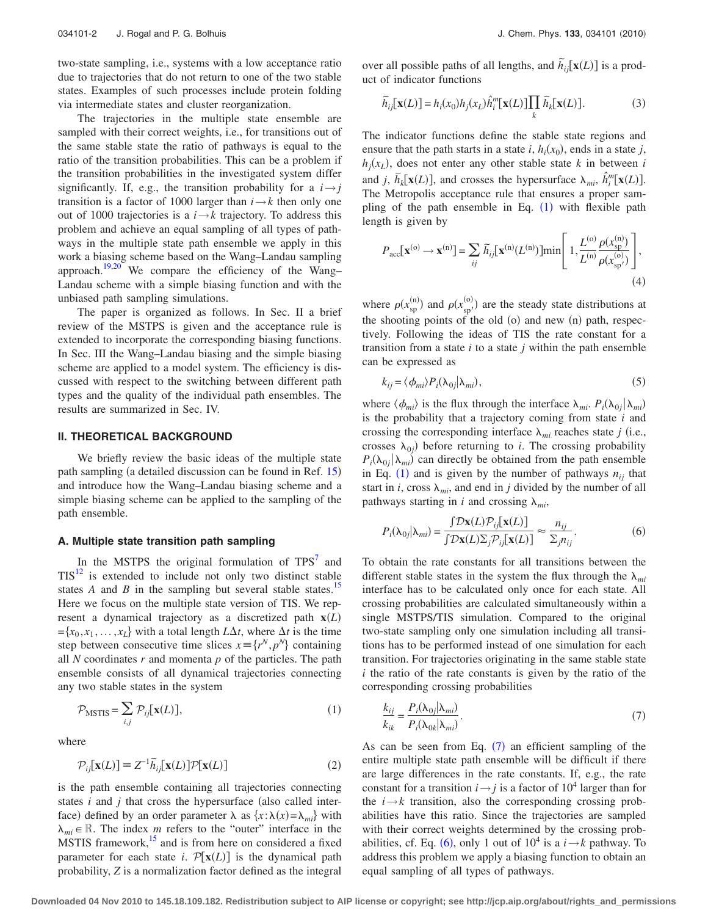two-state sampling, i.e., systems with a low acceptance ratio due to trajectories that do not return to one of the two stable states. Examples of such processes include protein folding via intermediate states and cluster reorganization.

The trajectories in the multiple state ensemble are sampled with their correct weights, i.e., for transitions out of the same stable state the ratio of pathways is equal to the ratio of the transition probabilities. This can be a problem if the transition probabilities in the investigated system differ significantly. If, e.g., the transition probability for a  $i \rightarrow j$ transition is a factor of 1000 larger than  $i \rightarrow k$  then only one out of 1000 trajectories is a  $i \rightarrow k$  trajectory. To address this problem and achieve an equal sampling of all types of pathways in the multiple state path ensemble we apply in this work a biasing scheme based on the Wang–Landau sampling approach. $19,20$  $19,20$  We compare the efficiency of the Wang– Landau scheme with a simple biasing function and with the unbiased path sampling simulations.

The paper is organized as follows. In Sec. II a brief review of the MSTPS is given and the acceptance rule is extended to incorporate the corresponding biasing functions. In Sec. III the Wang–Landau biasing and the simple biasing scheme are applied to a model system. The efficiency is discussed with respect to the switching between different path types and the quality of the individual path ensembles. The results are summarized in Sec. IV.

#### **II. THEORETICAL BACKGROUND**

We briefly review the basic ideas of the multiple state path sampling (a detailed discussion can be found in Ref. [15](#page-10-13)) and introduce how the Wang–Landau biasing scheme and a simple biasing scheme can be applied to the sampling of the path ensemble.

#### **A. Multiple state transition path sampling**

In the MSTPS the original formulation of  $TPS<sup>7</sup>$  and  $TIS<sup>12</sup>$  is extended to include not only two distinct stable states *A* and *B* in the sampling but several stable states.<sup>15</sup> Here we focus on the multiple state version of TIS. We represent a dynamical trajectory as a discretized path  $\mathbf{x}(L)$  $=\{x_0, x_1, \ldots, x_L\}$  with a total length *L* $\Delta t$ , where  $\Delta t$  is the time step between consecutive time slices  $x \equiv \{r^N, p^N\}$  containing all *N* coordinates *r* and momenta *p* of the particles. The path ensemble consists of all dynamical trajectories connecting any two stable states in the system

<span id="page-2-0"></span>
$$
\mathcal{P}_{\text{MSTIS}} = \sum_{i,j} \mathcal{P}_{ij}[\mathbf{x}(L)],\tag{1}
$$

where

$$
\mathcal{P}_{ij}[\mathbf{x}(L)] \equiv Z^{-1} \tilde{h}_{ij}[\mathbf{x}(L)] \mathcal{P}[\mathbf{x}(L)] \tag{2}
$$

is the path ensemble containing all trajectories connecting states  $i$  and  $j$  that cross the hypersurface (also called interface) defined by an order parameter  $\lambda$  as  $\{x : \lambda(x) = \lambda_{mi}\}\$  with  $\lambda_{mi} \in \mathbb{R}$ . The index *m* refers to the "outer" interface in the  $MSTIS$  framework,<sup>15</sup> and is from here on considered a fixed parameter for each state *i*.  $P[\mathbf{x}(L)]$  is the dynamical path probability, *Z* is a normalization factor defined as the integral

over all possible paths of all lengths, and  $\tilde{h}_{ij}[\mathbf{x}(L)]$  is a product of indicator functions

$$
\widetilde{h}_{ij}[\mathbf{x}(L)] = h_i(x_0)h_j(x_L)\widehat{h}_i^m[\mathbf{x}(L)]\prod_k \overline{h}_k[\mathbf{x}(L)].
$$
\n(3)

The indicator functions define the stable state regions and ensure that the path starts in a state  $i$ ,  $h_i(x_0)$ , ends in a state  $j$ ,  $h_j(x_L)$ , does not enter any other stable state *k* in between *i* and *j*,  $\bar{h}_k[\mathbf{x}(L)]$ , and crosses the hypersurface  $\lambda_{mi}$ ,  $\hat{h}_i^m[\mathbf{x}(L)]$ . The Metropolis acceptance rule that ensures a proper sampling of the path ensemble in Eq.  $(1)$  $(1)$  $(1)$  with flexible path length is given by

<span id="page-2-3"></span>
$$
P_{\rm acc}[\mathbf{x}^{(0)} \to \mathbf{x}^{(n)}] = \sum_{ij} \widetilde{h}_{ij}[\mathbf{x}^{(n)}(L^{(n)})] \min\left[1, \frac{L^{(o)}}{L^{(n)}} \frac{\rho(x_{\rm sp}^{(n)})}{\rho(x_{\rm sp}^{(o)})}\right],\tag{4}
$$

where  $\rho(x_{\text{sp}}^{(n)})$  and  $\rho(x_{\text{sp}}^{(o)})$  $\binom{10}{20}$  are the steady state distributions at the shooting points of the old (o) and new (n) path, respectively. Following the ideas of TIS the rate constant for a transition from a state *i* to a state *j* within the path ensemble can be expressed as

$$
k_{ij} = \langle \phi_{mi} \rangle P_i(\lambda_{0j} | \lambda_{mi}), \qquad (5)
$$

where  $\langle \phi_{mi} \rangle$  is the flux through the interface  $\lambda_{mi}$ .  $P_i(\lambda_{0j} | \lambda_{mi})$ is the probability that a trajectory coming from state *i* and crossing the corresponding interface  $\lambda_{mi}$  reaches state *j* (i.e., crosses  $\lambda_{0i}$ ) before returning to *i*. The crossing probability  $P_i(\lambda_{0j} | \lambda_{mi})$  can directly be obtained from the path ensemble in Eq.  $(1)$  $(1)$  $(1)$  and is given by the number of pathways  $n_{ij}$  that start in *i*, cross  $\lambda_{mi}$ , and end in *j* divided by the number of all pathways starting in *i* and crossing  $\lambda_{mi}$ ,

<span id="page-2-2"></span>
$$
P_i(\lambda_{0j}|\lambda_{mi}) = \frac{\int \mathcal{D}\mathbf{x}(L)\mathcal{P}_{ij}[\mathbf{x}(L)]}{\int \mathcal{D}\mathbf{x}(L)\Sigma_j\mathcal{P}_{ij}[\mathbf{x}(L)]} \approx \frac{n_{ij}}{\Sigma_j n_{ij}}.
$$
(6)

To obtain the rate constants for all transitions between the different stable states in the system the flux through the  $\lambda_{mi}$ interface has to be calculated only once for each state. All crossing probabilities are calculated simultaneously within a single MSTPS/TIS simulation. Compared to the original two-state sampling only one simulation including all transitions has to be performed instead of one simulation for each transition. For trajectories originating in the same stable state *i* the ratio of the rate constants is given by the ratio of the corresponding crossing probabilities

<span id="page-2-1"></span>
$$
\frac{k_{ij}}{k_{ik}} = \frac{P_i(\lambda_{0j}|\lambda_{mi})}{P_i(\lambda_{0k}|\lambda_{mi})}.
$$
\n(7)

As can be seen from Eq.  $(7)$  $(7)$  $(7)$  an efficient sampling of the entire multiple state path ensemble will be difficult if there are large differences in the rate constants. If, e.g., the rate constant for a transition  $i \rightarrow j$  is a factor of 10<sup>4</sup> larger than for the  $i \rightarrow k$  transition, also the corresponding crossing probabilities have this ratio. Since the trajectories are sampled with their correct weights determined by the crossing probabilities, cf. Eq.  $(6)$  $(6)$  $(6)$ , only 1 out of  $10^4$  is a  $i \rightarrow k$  pathway. To address this problem we apply a biasing function to obtain an equal sampling of all types of pathways.

**Downloaded 04 Nov 2010 to 145.18.109.182. Redistribution subject to AIP license or copyright; see http://jcp.aip.org/about/rights\_and\_permissions**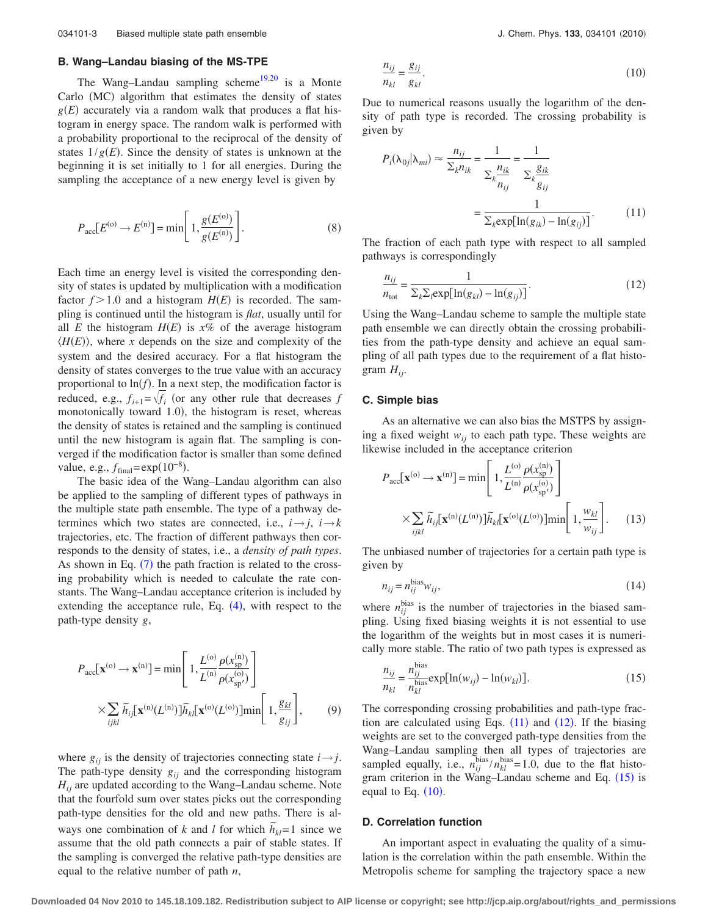#### **B. Wang–Landau biasing of the MS-TPE**

The Wang–Landau sampling scheme<sup>19[,20](#page-10-17)</sup> is a Monte Carlo (MC) algorithm that estimates the density of states  $g(E)$  accurately via a random walk that produces a flat histogram in energy space. The random walk is performed with a probability proportional to the reciprocal of the density of states  $1/g(E)$ . Since the density of states is unknown at the beginning it is set initially to 1 for all energies. During the sampling the acceptance of a new energy level is given by

$$
P_{\rm acc}[E^{(o)} \to E^{(n)}] = \min\left[1, \frac{g(E^{(o)})}{g(E^{(n)})}\right].
$$
 (8)

Each time an energy level is visited the corresponding density of states is updated by multiplication with a modification factor  $f > 1.0$  and a histogram  $H(E)$  is recorded. The sampling is continued until the histogram is *flat*, usually until for all *E* the histogram  $H(E)$  is  $x\%$  of the average histogram  $\langle H(E) \rangle$ , where *x* depends on the size and complexity of the system and the desired accuracy. For a flat histogram the density of states converges to the true value with an accuracy proportional to  $\ln(f)$ . In a next step, the modification factor is reduced, e.g.,  $f_{i+1} = \sqrt{f_i}$  (or any other rule that decreases *f* monotonically toward 1.0, the histogram is reset, whereas the density of states is retained and the sampling is continued until the new histogram is again flat. The sampling is converged if the modification factor is smaller than some defined value, e.g.,  $f_{final} = \exp(10^{-8})$ .

The basic idea of the Wang–Landau algorithm can also be applied to the sampling of different types of pathways in the multiple state path ensemble. The type of a pathway determines which two states are connected, i.e.,  $i \rightarrow j$ ,  $i \rightarrow k$ trajectories, etc. The fraction of different pathways then corresponds to the density of states, i.e., a *density of path types*. As shown in Eq.  $(7)$  $(7)$  $(7)$  the path fraction is related to the crossing probability which is needed to calculate the rate constants. The Wang–Landau acceptance criterion is included by extending the acceptance rule, Eq.  $(4)$  $(4)$  $(4)$ , with respect to the path-type density *g*,

<span id="page-3-4"></span>
$$
P_{\text{acc}}[\mathbf{x}^{(0)} \to \mathbf{x}^{(n)}] = \min\left[1, \frac{L^{(0)}}{L^{(n)}} \frac{\rho(x_{\text{sp}}^{(n)})}{\rho(x_{\text{sp}}^{(0)})}\right]
$$

$$
\times \sum_{ijkl} \widetilde{h}_{ij}[\mathbf{x}^{(n)}(L^{(n)})] \widetilde{h}_{kl}[\mathbf{x}^{(0)}(L^{(0)})] \min\left[1, \frac{g_{kl}}{g_{ij}}\right],\tag{9}
$$

where  $g_{ii}$  is the density of trajectories connecting state  $i \rightarrow j$ . The path-type density  $g_{ii}$  and the corresponding histogram *H<sub>ij</sub>* are updated according to the Wang–Landau scheme. Note that the fourfold sum over states picks out the corresponding path-type densities for the old and new paths. There is always one combination of *k* and *l* for which  $\tilde{h}_{kl}=1$  since we assume that the old path connects a pair of stable states. If the sampling is converged the relative path-type densities are equal to the relative number of path *n*,

<span id="page-3-3"></span>
$$
\frac{n_{ij}}{n_{kl}} = \frac{g_{ij}}{g_{kl}}.\tag{10}
$$

Due to numerical reasons usually the logarithm of the density of path type is recorded. The crossing probability is given by

<span id="page-3-0"></span>
$$
P_i(\lambda_{0j}|\lambda_{mi}) \approx \frac{n_{ij}}{\sum_k n_{ik}} = \frac{1}{\sum_k \frac{n_{ik}}{n_{ij}}} = \frac{1}{\sum_k \frac{g_{ik}}{g_{ij}}}
$$

$$
= \frac{1}{\sum_k \exp[\ln(g_{ik}) - \ln(g_{ij})]}.
$$
(11)

<span id="page-3-1"></span>The fraction of each path type with respect to all sampled pathways is correspondingly

$$
\frac{n_{ij}}{n_{\text{tot}}} = \frac{1}{\sum_{k} \sum_{l} \exp[\ln(g_{kl}) - \ln(g_{ij})]}.
$$
\n(12)

Using the Wang–Landau scheme to sample the multiple state path ensemble we can directly obtain the crossing probabilities from the path-type density and achieve an equal sampling of all path types due to the requirement of a flat histogram  $H_{ii}$ .

#### **C. Simple bias**

As an alternative we can also bias the MSTPS by assigning a fixed weight  $w_{ij}$  to each path type. These weights are likewise included in the acceptance criterion

<span id="page-3-5"></span>
$$
P_{\text{acc}}[\mathbf{x}^{(0)} \to \mathbf{x}^{(n)}] = \min\left[1, \frac{L^{(0)}}{L^{(n)}} \frac{\rho(x_{\text{sp}}^{(n)})}{\rho(x_{\text{sp}}^{(0)})}\right]
$$

$$
\times \sum_{ijkl} \widetilde{h}_{ij}[\mathbf{x}^{(n)}(L^{(n)})] \widetilde{h}_{kl}[\mathbf{x}^{(0)}(L^{(0)})] \min\left[1, \frac{w_{kl}}{w_{ij}}\right].
$$
 (13)

The unbiased number of trajectories for a certain path type is given by

$$
n_{ij} = n_{ij}^{\text{bias}} w_{ij},\tag{14}
$$

where  $n_{ij}^{\text{bias}}$  is the number of trajectories in the biased sampling. Using fixed biasing weights it is not essential to use the logarithm of the weights but in most cases it is numerically more stable. The ratio of two path types is expressed as

<span id="page-3-2"></span>
$$
\frac{n_{ij}}{n_{kl}} = \frac{n_{ij}^{\text{bias}}}{n_{kl}^{\text{bias}}} \exp[\ln(w_{ij}) - \ln(w_{kl})].
$$
\n(15)

The corresponding crossing probabilities and path-type fraction are calculated using Eqs.  $(11)$  $(11)$  $(11)$  and  $(12)$  $(12)$  $(12)$ . If the biasing weights are set to the converged path-type densities from the Wang–Landau sampling then all types of trajectories are sampled equally, i.e.,  $n_{ij}^{\text{bias}}/n_{kl}^{\text{bias}} = 1.0$ , due to the flat histogram criterion in the Wang–Landau scheme and Eq.  $(15)$  $(15)$  $(15)$  is equal to Eq.  $(10)$  $(10)$  $(10)$ .

#### **D. Correlation function**

An important aspect in evaluating the quality of a simulation is the correlation within the path ensemble. Within the Metropolis scheme for sampling the trajectory space a new

**Downloaded 04 Nov 2010 to 145.18.109.182. Redistribution subject to AIP license or copyright; see http://jcp.aip.org/about/rights\_and\_permissions**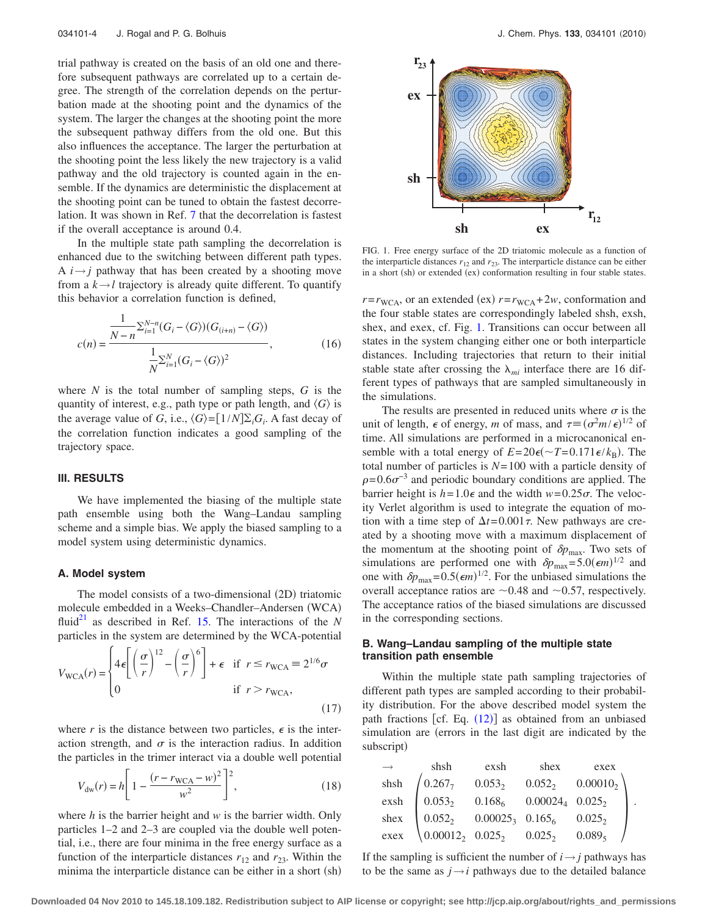trial pathway is created on the basis of an old one and therefore subsequent pathways are correlated up to a certain degree. The strength of the correlation depends on the perturbation made at the shooting point and the dynamics of the system. The larger the changes at the shooting point the more the subsequent pathway differs from the old one. But this also influences the acceptance. The larger the perturbation at the shooting point the less likely the new trajectory is a valid pathway and the old trajectory is counted again in the ensemble. If the dynamics are deterministic the displacement at the shooting point can be tuned to obtain the fastest decorrelation. It was shown in Ref. [7](#page-10-6) that the decorrelation is fastest if the overall acceptance is around 0.4.

In the multiple state path sampling the decorrelation is enhanced due to the switching between different path types. A  $i \rightarrow j$  pathway that has been created by a shooting move from a  $k \rightarrow l$  trajectory is already quite different. To quantify this behavior a correlation function is defined,

<span id="page-4-1"></span>
$$
c(n) = \frac{\frac{1}{N - n} \sum_{i=1}^{N - n} (G_i - \langle G \rangle)(G_{(i+n)} - \langle G \rangle)}{\frac{1}{N} \sum_{i=1}^{N} (G_i - \langle G \rangle)^2},
$$
(16)

where *N* is the total number of sampling steps, *G* is the quantity of interest, e.g., path type or path length, and  $\langle G \rangle$  is the average value of *G*, i.e.,  $\langle G \rangle = [1/N] \Sigma_i G_i$ . A fast decay of the correlation function indicates a good sampling of the trajectory space.

#### **III. RESULTS**

We have implemented the biasing of the multiple state path ensemble using both the Wang–Landau sampling scheme and a simple bias. We apply the biased sampling to a model system using deterministic dynamics.

#### **A. Model system**

The model consists of a two-dimensional (2D) triatomic molecule embedded in a Weeks-Chandler-Andersen (WCA) fluid<sup>21</sup> as described in Ref. [15.](#page-10-13) The interactions of the  $N$ particles in the system are determined by the WCA-potential

$$
V_{\text{WCA}}(r) = \begin{cases} 4\epsilon \left[ \left( \frac{\sigma}{r} \right)^{12} - \left( \frac{\sigma}{r} \right)^6 \right] + \epsilon & \text{if } r \le r_{\text{WCA}} \equiv 2^{1/6} \sigma \\ 0 & \text{if } r > r_{\text{WCA}}, \end{cases}
$$
(17)

where *r* is the distance between two particles,  $\epsilon$  is the interaction strength, and  $\sigma$  is the interaction radius. In addition the particles in the trimer interact via a double well potential

$$
V_{\rm dw}(r) = h \left[ 1 - \frac{(r - r_{\rm WCA} - w)^2}{w^2} \right]^2, \tag{18}
$$

where *h* is the barrier height and *w* is the barrier width. Only particles 1–2 and 2–3 are coupled via the double well potential, i.e., there are four minima in the free energy surface as a function of the interparticle distances  $r_{12}$  and  $r_{23}$ . Within the minima the interparticle distance can be either in a short (sh)

<span id="page-4-0"></span>

FIG. 1. Free energy surface of the 2D triatomic molecule as a function of the interparticle distances  $r_{12}$  and  $r_{23}$ . The interparticle distance can be either in a short (sh) or extended (ex) conformation resulting in four stable states.

 $r = r_{\text{WCA}}$ , or an extended (ex)  $r = r_{\text{WCA}} + 2w$ , conformation and the four stable states are correspondingly labeled shsh, exsh, shex, and exex, cf. Fig. [1.](#page-4-0) Transitions can occur between all states in the system changing either one or both interparticle distances. Including trajectories that return to their initial stable state after crossing the  $\lambda_{mi}$  interface there are 16 different types of pathways that are sampled simultaneously in the simulations.

The results are presented in reduced units where  $\sigma$  is the unit of length,  $\epsilon$  of energy, *m* of mass, and  $\tau \equiv (\sigma^2 m / \epsilon)^{1/2}$  of time. All simulations are performed in a microcanonical ensemble with a total energy of  $E = 20\epsilon (\sim T = 0.171\epsilon/k_B)$ . The total number of particles is *N*= 100 with a particle density of  $\rho = 0.6\sigma^{-3}$  and periodic boundary conditions are applied. The barrier height is  $h = 1.0\epsilon$  and the width  $w = 0.25\sigma$ . The velocity Verlet algorithm is used to integrate the equation of motion with a time step of  $\Delta t = 0.001 \tau$ . New pathways are created by a shooting move with a maximum displacement of the momentum at the shooting point of  $\delta p_{\text{max}}$ . Two sets of simulations are performed one with  $\delta p_{\text{max}} = 5.0 \, (\epsilon m)^{1/2}$  and one with  $\delta p_{\text{max}} = 0.5(\epsilon m)^{1/2}$ . For the unbiased simulations the overall acceptance ratios are  $\sim 0.48$  and  $\sim 0.57$ , respectively. The acceptance ratios of the biased simulations are discussed in the corresponding sections.

#### **B. Wang–Landau sampling of the multiple state transition path ensemble**

Within the multiple state path sampling trajectories of different path types are sampled according to their probability distribution. For the above described model system the path fractions [cf. Eq.  $(12)$  $(12)$  $(12)$ ] as obtained from an unbiased simulation are (errors in the last digit are indicated by the subscript

|      | shsh                                                                    | exsh        | shex                         | exex                  |
|------|-------------------------------------------------------------------------|-------------|------------------------------|-----------------------|
| shsh | $\sqrt{0.267}$                                                          | $0.053_{2}$ |                              | $0.052_2$ $0.00010_2$ |
| exsh | $\big  0.053_2$                                                         |             | $0.1686$ $0.000244$ $0.0252$ |                       |
| shex | $\begin{bmatrix} 0.052_2 & 0.00025_3 & 0.165_6 & 0.025_2 \end{bmatrix}$ |             |                              |                       |
| exex | $\begin{pmatrix} 0.00012_2 & 0.025_2 & 0.025_2 \end{pmatrix}$           |             |                              | $0.089_5$             |

.

If the sampling is sufficient the number of  $i \rightarrow j$  pathways has to be the same as  $j \rightarrow i$  pathways due to the detailed balance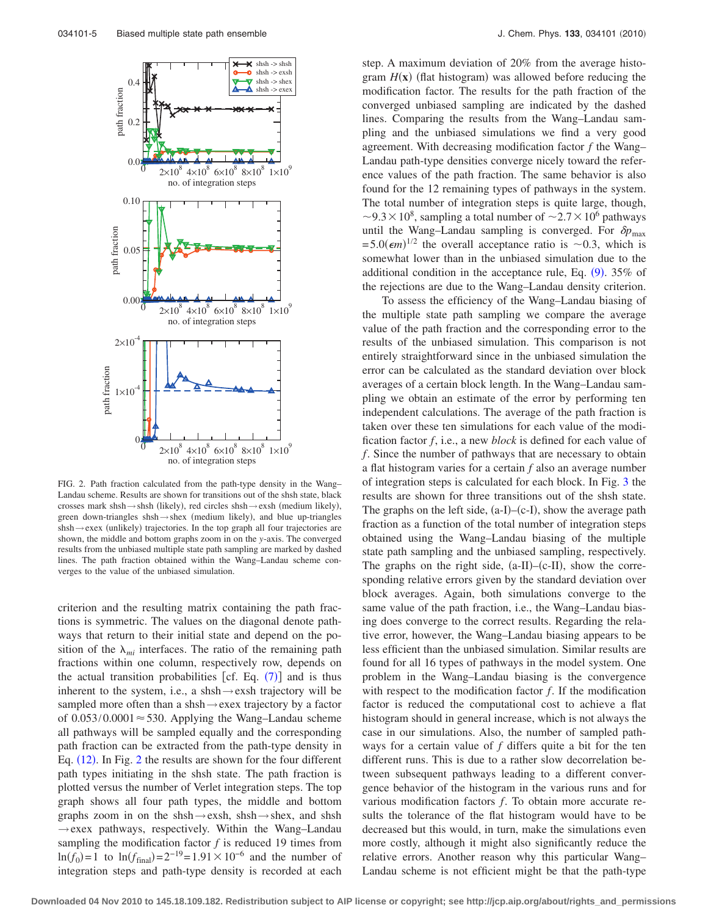<span id="page-5-0"></span>

FIG. 2. Path fraction calculated from the path-type density in the Wang– Landau scheme. Results are shown for transitions out of the shsh state, black crosses mark shsh→shsh (likely), red circles shsh→exsh (medium likely), green down-triangles  $shsh \rightarrow shex$  (medium likely), and blue up-triangles shsh→exex (unlikely) trajectories. In the top graph all four trajectories are shown, the middle and bottom graphs zoom in on the *y*-axis. The converged results from the unbiased multiple state path sampling are marked by dashed lines. The path fraction obtained within the Wang–Landau scheme converges to the value of the unbiased simulation.

criterion and the resulting matrix containing the path fractions is symmetric. The values on the diagonal denote pathways that return to their initial state and depend on the position of the  $\lambda_{mi}$  interfaces. The ratio of the remaining path fractions within one column, respectively row, depends on the actual transition probabilities [cf. Eq.  $(7)$  $(7)$  $(7)$ ] and is thus inherent to the system, i.e., a shsh $\rightarrow$ exsh trajectory will be sampled more often than a shsh→exex trajectory by a factor of  $0.053/0.0001 \approx 530$ . Applying the Wang–Landau scheme all pathways will be sampled equally and the corresponding path fraction can be extracted from the path-type density in Eq. ([12](#page-3-1)). In Fig. [2](#page-5-0) the results are shown for the four different path types initiating in the shsh state. The path fraction is plotted versus the number of Verlet integration steps. The top graph shows all four path types, the middle and bottom graphs zoom in on the shsh $\rightarrow$ exsh, shsh $\rightarrow$ shex, and shsh  $\rightarrow$ exex pathways, respectively. Within the Wang–Landau sampling the modification factor *f* is reduced 19 times from  $ln(f_0) = 1$  to  $ln(f_{final}) = 2^{-19} = 1.91 \times 10^{-6}$  and the number of integration steps and path-type density is recorded at each step. A maximum deviation of 20% from the average histogram  $H(x)$  (flat histogram) was allowed before reducing the modification factor. The results for the path fraction of the converged unbiased sampling are indicated by the dashed lines. Comparing the results from the Wang–Landau sampling and the unbiased simulations we find a very good agreement. With decreasing modification factor *f* the Wang– Landau path-type densities converge nicely toward the reference values of the path fraction. The same behavior is also found for the 12 remaining types of pathways in the system. The total number of integration steps is quite large, though,  $\sim$ 9.3 × 10<sup>8</sup>, sampling a total number of  $\sim$ 2.7 × 10<sup>6</sup> pathways until the Wang–Landau sampling is converged. For  $\delta p_{\text{max}}$  $= 5.0$ ( $\epsilon$ m)<sup>1/2</sup> the overall acceptance ratio is  $\sim$ 0.3, which is somewhat lower than in the unbiased simulation due to the additional condition in the acceptance rule, Eq.  $(9)$  $(9)$  $(9)$ . 35% of the rejections are due to the Wang–Landau density criterion.

To assess the efficiency of the Wang–Landau biasing of the multiple state path sampling we compare the average value of the path fraction and the corresponding error to the results of the unbiased simulation. This comparison is not entirely straightforward since in the unbiased simulation the error can be calculated as the standard deviation over block averages of a certain block length. In the Wang–Landau sampling we obtain an estimate of the error by performing ten independent calculations. The average of the path fraction is taken over these ten simulations for each value of the modification factor *f*, i.e., a new *block* is defined for each value of *f*. Since the number of pathways that are necessary to obtain a flat histogram varies for a certain *f* also an average number of integration steps is calculated for each block. In Fig. [3](#page-6-0) the results are shown for three transitions out of the shsh state. The graphs on the left side,  $(a-I)$ – $(c-I)$ , show the average path fraction as a function of the total number of integration steps obtained using the Wang–Landau biasing of the multiple state path sampling and the unbiased sampling, respectively. The graphs on the right side,  $(a-H)$ – $(c-H)$ , show the corresponding relative errors given by the standard deviation over block averages. Again, both simulations converge to the same value of the path fraction, i.e., the Wang–Landau biasing does converge to the correct results. Regarding the relative error, however, the Wang–Landau biasing appears to be less efficient than the unbiased simulation. Similar results are found for all 16 types of pathways in the model system. One problem in the Wang–Landau biasing is the convergence with respect to the modification factor *f*. If the modification factor is reduced the computational cost to achieve a flat histogram should in general increase, which is not always the case in our simulations. Also, the number of sampled pathways for a certain value of *f* differs quite a bit for the ten different runs. This is due to a rather slow decorrelation between subsequent pathways leading to a different convergence behavior of the histogram in the various runs and for various modification factors *f*. To obtain more accurate results the tolerance of the flat histogram would have to be decreased but this would, in turn, make the simulations even more costly, although it might also significantly reduce the relative errors. Another reason why this particular Wang– Landau scheme is not efficient might be that the path-type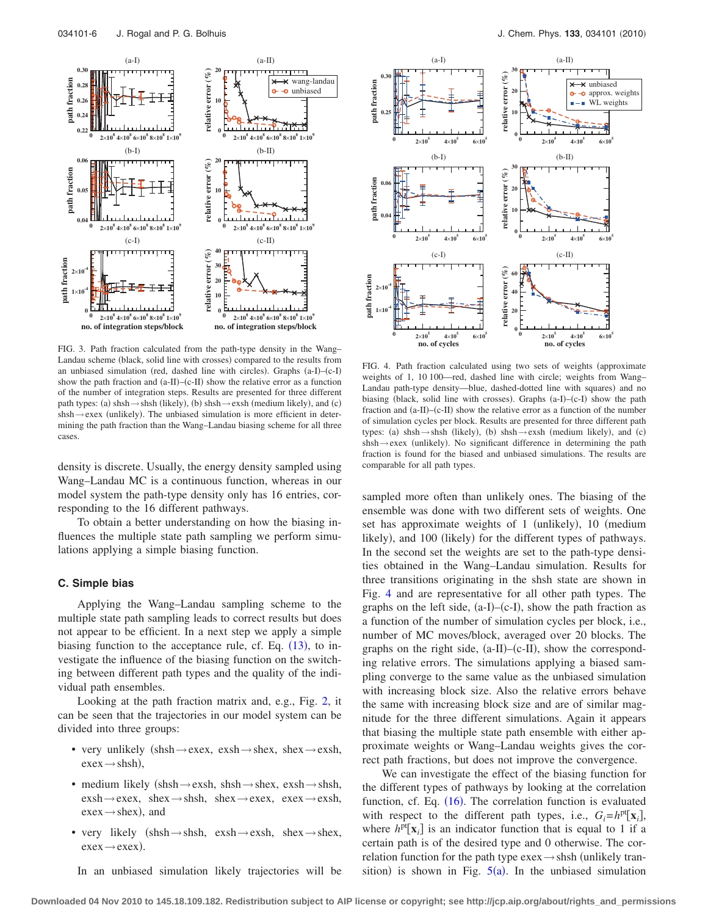<span id="page-6-0"></span>

FIG. 3. Path fraction calculated from the path-type density in the Wang– Landau scheme (black, solid line with crosses) compared to the results from an unbiased simulation (red, dashed line with circles). Graphs (a-I)-(c-I) show the path fraction and (a-II)–(c-II) show the relative error as a function of the number of integration steps. Results are presented for three different path types: (a) shsh  $\rightarrow$  shsh (likely), (b) shsh  $\rightarrow$  exsh (medium likely), and (c)  $shsh \rightarrow$  exex (unlikely). The unbiased simulation is more efficient in determining the path fraction than the Wang–Landau biasing scheme for all three cases.

density is discrete. Usually, the energy density sampled using Wang–Landau MC is a continuous function, whereas in our model system the path-type density only has 16 entries, corresponding to the 16 different pathways.

To obtain a better understanding on how the biasing influences the multiple state path sampling we perform simulations applying a simple biasing function.

#### **C. Simple bias**

Applying the Wang–Landau sampling scheme to the multiple state path sampling leads to correct results but does not appear to be efficient. In a next step we apply a simple biasing function to the acceptance rule, cf. Eq.  $(13)$  $(13)$  $(13)$ , to investigate the influence of the biasing function on the switching between different path types and the quality of the individual path ensembles.

Looking at the path fraction matrix and, e.g., Fig. [2,](#page-5-0) it can be seen that the trajectories in our model system can be divided into three groups:

- very unlikely  $(shsh \rightarrow exex, exsh \rightarrow shex, shex \rightarrow exsh,$  $exex \rightarrow shsh$ ),
- medium likely  $(shsh \rightarrow exsh, shsh \rightarrow shex, exsh \rightarrow shsh,$ exsh→exex, shex→shsh, shex→exex, exex→exsh,  $exex \rightarrow shex$ , and
- very likely  $(shsh \rightarrow shsh, \text{exsh} \rightarrow exsh, \text{shex} \rightarrow shex,$  $exex \rightarrow exex$ ).

In an unbiased simulation likely trajectories will be

<span id="page-6-1"></span>

FIG. 4. Path fraction calculated using two sets of weights (approximate weights of 1, 10 100—red, dashed line with circle; weights from Wang– Landau path-type density-blue, dashed-dotted line with squares) and no biasing (black, solid line with crosses). Graphs (a-I)–(c-I) show the path fraction and  $(a-H)$ – $(c-H)$  show the relative error as a function of the number of simulation cycles per block. Results are presented for three different path types: (a) shsh $\rightarrow$ shsh (likely), (b) shsh $\rightarrow$ exsh (medium likely), and (c)  $sh \rightarrow exex$  (unlikely). No significant difference in determining the path fraction is found for the biased and unbiased simulations. The results are comparable for all path types.

sampled more often than unlikely ones. The biasing of the ensemble was done with two different sets of weights. One set has approximate weights of 1 (unlikely), 10 (medium likely), and 100 (likely) for the different types of pathways. In the second set the weights are set to the path-type densities obtained in the Wang–Landau simulation. Results for three transitions originating in the shsh state are shown in Fig. [4](#page-6-1) and are representative for all other path types. The graphs on the left side,  $(a-I)$ – $(c-I)$ , show the path fraction as a function of the number of simulation cycles per block, i.e., number of MC moves/block, averaged over 20 blocks. The graphs on the right side,  $(a-H)$ – $(c-H)$ , show the corresponding relative errors. The simulations applying a biased sampling converge to the same value as the unbiased simulation with increasing block size. Also the relative errors behave the same with increasing block size and are of similar magnitude for the three different simulations. Again it appears that biasing the multiple state path ensemble with either approximate weights or Wang–Landau weights gives the correct path fractions, but does not improve the convergence.

We can investigate the effect of the biasing function for the different types of pathways by looking at the correlation function, cf. Eq.  $(16)$  $(16)$  $(16)$ . The correlation function is evaluated with respect to the different path types, i.e.,  $G_i = h^{\text{pt}}[x_i]$ , where  $h<sup>pt</sup>[**x**<sub>i</sub>]$  is an indicator function that is equal to 1 if a certain path is of the desired type and 0 otherwise. The correlation function for the path type  $exex \rightarrow shsh$  (unlikely transition) is shown in Fig.  $5(a)$  $5(a)$ . In the unbiased simulation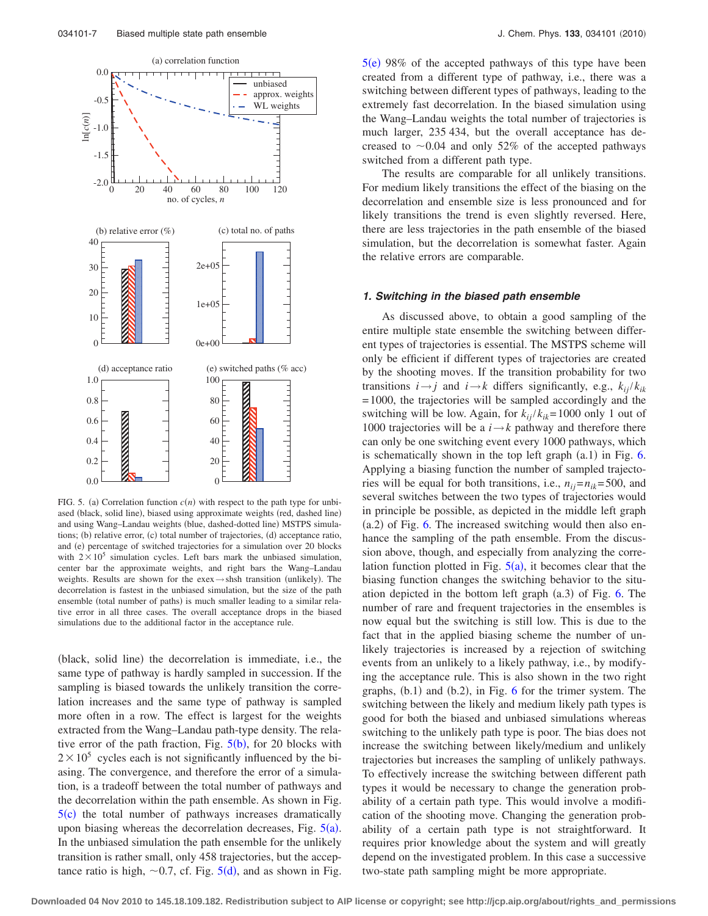<span id="page-7-0"></span>

FIG. 5. (a) Correlation function  $c(n)$  with respect to the path type for unbiased (black, solid line), biased using approximate weights (red, dashed line) and using Wang-Landau weights (blue, dashed-dotted line) MSTPS simulations; (b) relative error, (c) total number of trajectories, (d) acceptance ratio, and (e) percentage of switched trajectories for a simulation over 20 blocks with  $2 \times 10^5$  simulation cycles. Left bars mark the unbiased simulation, center bar the approximate weights, and right bars the Wang–Landau weights. Results are shown for the  $exex \rightarrow shsh$  transition (unlikely). The decorrelation is fastest in the unbiased simulation, but the size of the path ensemble (total number of paths) is much smaller leading to a similar relative error in all three cases. The overall acceptance drops in the biased simulations due to the additional factor in the acceptance rule.

(black, solid line) the decorrelation is immediate, i.e., the same type of pathway is hardly sampled in succession. If the sampling is biased towards the unlikely transition the correlation increases and the same type of pathway is sampled more often in a row. The effect is largest for the weights extracted from the Wang–Landau path-type density. The relative error of the path fraction, Fig.  $5(b)$  $5(b)$ , for 20 blocks with  $2 \times 10^5$  cycles each is not significantly influenced by the biasing. The convergence, and therefore the error of a simulation, is a tradeoff between the total number of pathways and the decorrelation within the path ensemble. As shown in Fig.  $5(c)$  $5(c)$  the total number of pathways increases dramatically upon biasing whereas the decorrelation decreases, Fig.  $5(a)$  $5(a)$ . In the unbiased simulation the path ensemble for the unlikely transition is rather small, only 458 trajectories, but the acceptance ratio is high,  $\sim$  0.7, cf. Fig. [5](#page-7-0)(d), and as shown in Fig.

 $5(e)$  $5(e)$  98% of the accepted pathways of this type have been created from a different type of pathway, i.e., there was a switching between different types of pathways, leading to the extremely fast decorrelation. In the biased simulation using the Wang–Landau weights the total number of trajectories is much larger, 235 434, but the overall acceptance has decreased to  $\sim$  0.04 and only 52% of the accepted pathways switched from a different path type.

The results are comparable for all unlikely transitions. For medium likely transitions the effect of the biasing on the decorrelation and ensemble size is less pronounced and for likely transitions the trend is even slightly reversed. Here, there are less trajectories in the path ensemble of the biased simulation, but the decorrelation is somewhat faster. Again the relative errors are comparable.

#### *1. Switching in the biased path ensemble*

As discussed above, to obtain a good sampling of the entire multiple state ensemble the switching between different types of trajectories is essential. The MSTPS scheme will only be efficient if different types of trajectories are created by the shooting moves. If the transition probability for two transitions  $i \rightarrow j$  and  $i \rightarrow k$  differs significantly, e.g.,  $k_{ij}/k_{ik}$ = 1000, the trajectories will be sampled accordingly and the switching will be low. Again, for  $k_{ij}/k_{ik}= 1000$  only 1 out of 1000 trajectories will be a  $i \rightarrow k$  pathway and therefore there can only be one switching event every 1000 pathways, which is schematically shown in the top left graph  $(a.1)$  in Fig. [6.](#page-8-0) Applying a biasing function the number of sampled trajectories will be equal for both transitions, i.e.,  $n_{ij} = n_{ik} = 500$ , and several switches between the two types of trajectories would in principle be possible, as depicted in the middle left graph (a.2) of Fig. [6.](#page-8-0) The increased switching would then also enhance the sampling of the path ensemble. From the discussion above, though, and especially from analyzing the correlation function plotted in Fig.  $5(a)$  $5(a)$ , it becomes clear that the biasing function changes the switching behavior to the situation depicted in the bottom left graph  $(a.3)$  of Fig. [6.](#page-8-0) The number of rare and frequent trajectories in the ensembles is now equal but the switching is still low. This is due to the fact that in the applied biasing scheme the number of unlikely trajectories is increased by a rejection of switching events from an unlikely to a likely pathway, i.e., by modifying the acceptance rule. This is also shown in the two right graphs,  $(b.1)$  and  $(b.2)$ , in Fig. [6](#page-8-0) for the trimer system. The switching between the likely and medium likely path types is good for both the biased and unbiased simulations whereas switching to the unlikely path type is poor. The bias does not increase the switching between likely/medium and unlikely trajectories but increases the sampling of unlikely pathways. To effectively increase the switching between different path types it would be necessary to change the generation probability of a certain path type. This would involve a modification of the shooting move. Changing the generation probability of a certain path type is not straightforward. It requires prior knowledge about the system and will greatly depend on the investigated problem. In this case a successive two-state path sampling might be more appropriate.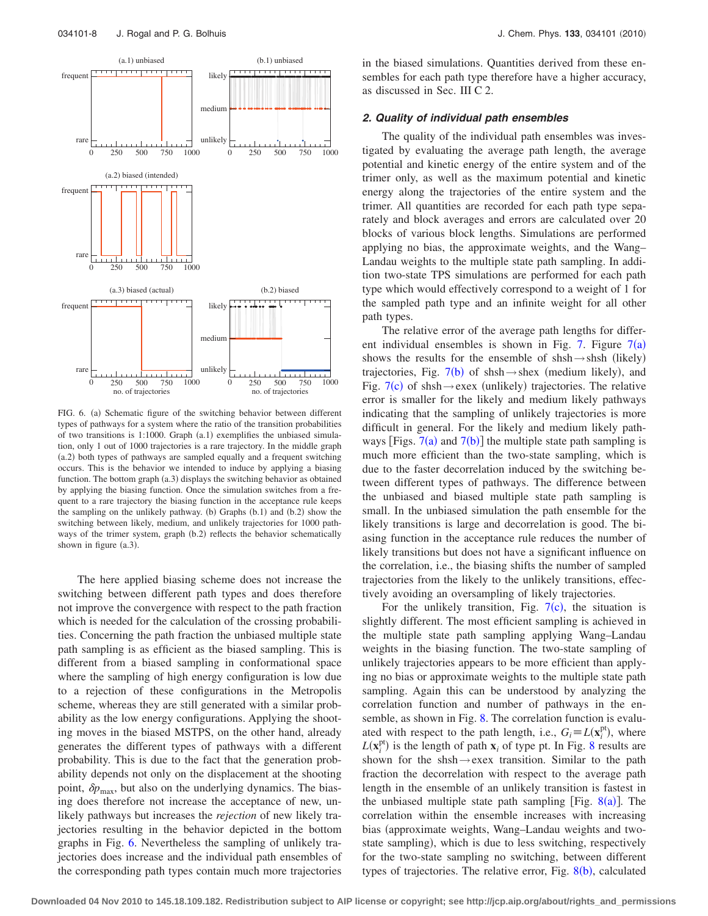<span id="page-8-0"></span>

FIG. 6. (a) Schematic figure of the switching behavior between different types of pathways for a system where the ratio of the transition probabilities of two transitions is 1:1000. Graph (a.1) exemplifies the unbiased simulation, only 1 out of 1000 trajectories is a rare trajectory. In the middle graph (a.2) both types of pathways are sampled equally and a frequent switching occurs. This is the behavior we intended to induce by applying a biasing function. The bottom graph (a.3) displays the switching behavior as obtained by applying the biasing function. Once the simulation switches from a frequent to a rare trajectory the biasing function in the acceptance rule keeps the sampling on the unlikely pathway. (b) Graphs  $(b.1)$  and  $(b.2)$  show the switching between likely, medium, and unlikely trajectories for 1000 pathways of the trimer system, graph (b.2) reflects the behavior schematically shown in figure  $(a.3)$ .

The here applied biasing scheme does not increase the switching between different path types and does therefore not improve the convergence with respect to the path fraction which is needed for the calculation of the crossing probabilities. Concerning the path fraction the unbiased multiple state path sampling is as efficient as the biased sampling. This is different from a biased sampling in conformational space where the sampling of high energy configuration is low due to a rejection of these configurations in the Metropolis scheme, whereas they are still generated with a similar probability as the low energy configurations. Applying the shooting moves in the biased MSTPS, on the other hand, already generates the different types of pathways with a different probability. This is due to the fact that the generation probability depends not only on the displacement at the shooting point,  $\delta p_{\text{max}}$ , but also on the underlying dynamics. The biasing does therefore not increase the acceptance of new, unlikely pathways but increases the *rejection* of new likely trajectories resulting in the behavior depicted in the bottom graphs in Fig. [6.](#page-8-0) Nevertheless the sampling of unlikely trajectories does increase and the individual path ensembles of the corresponding path types contain much more trajectories in the biased simulations. Quantities derived from these ensembles for each path type therefore have a higher accuracy, as discussed in Sec. III C 2.

#### *2. Quality of individual path ensembles*

The quality of the individual path ensembles was investigated by evaluating the average path length, the average potential and kinetic energy of the entire system and of the trimer only, as well as the maximum potential and kinetic energy along the trajectories of the entire system and the trimer. All quantities are recorded for each path type separately and block averages and errors are calculated over 20 blocks of various block lengths. Simulations are performed applying no bias, the approximate weights, and the Wang– Landau weights to the multiple state path sampling. In addition two-state TPS simulations are performed for each path type which would effectively correspond to a weight of 1 for the sampled path type and an infinite weight for all other path types.

The relative error of the average path lengths for different individual ensembles is shown in Fig.  $7$ . Figure  $7(a)$ shows the results for the ensemble of  $shsh \rightarrow shsh$  (likely) trajectories, Fig.  $7(b)$  $7(b)$  of shsh $\rightarrow$ shex (medium likely), and Fig.  $7(c)$  $7(c)$  of shsh $\rightarrow$ exex (unlikely) trajectories. The relative error is smaller for the likely and medium likely pathways indicating that the sampling of unlikely trajectories is more difficult in general. For the likely and medium likely pathways [Figs.  $7(a)$  $7(a)$  and  $7(b)$ ] the multiple state path sampling is much more efficient than the two-state sampling, which is due to the faster decorrelation induced by the switching between different types of pathways. The difference between the unbiased and biased multiple state path sampling is small. In the unbiased simulation the path ensemble for the likely transitions is large and decorrelation is good. The biasing function in the acceptance rule reduces the number of likely transitions but does not have a significant influence on the correlation, i.e., the biasing shifts the number of sampled trajectories from the likely to the unlikely transitions, effectively avoiding an oversampling of likely trajectories.

For the unlikely transition, Fig.  $7(c)$  $7(c)$ , the situation is slightly different. The most efficient sampling is achieved in the multiple state path sampling applying Wang–Landau weights in the biasing function. The two-state sampling of unlikely trajectories appears to be more efficient than applying no bias or approximate weights to the multiple state path sampling. Again this can be understood by analyzing the correlation function and number of pathways in the ensemble, as shown in Fig. [8.](#page-9-1) The correlation function is evaluated with respect to the path length, i.e.,  $G_i \equiv L(\mathbf{x}_i^{\text{pt}})$ , where  $L(\mathbf{x}_i^{\text{pt}})$  is the length of path  $\mathbf{x}_i$  of type pt. In Fig. [8](#page-9-1) results are shown for the shsh $\rightarrow$ exex transition. Similar to the path fraction the decorrelation with respect to the average path length in the ensemble of an unlikely transition is fastest in the unbiased multiple state path sampling [Fig.  $8(a)$  $8(a)$ ]. The correlation within the ensemble increases with increasing bias (approximate weights, Wang–Landau weights and twostate sampling, which is due to less switching, respectively for the two-state sampling no switching, between different types of trajectories. The relative error, Fig. [8](#page-9-1)(b), calculated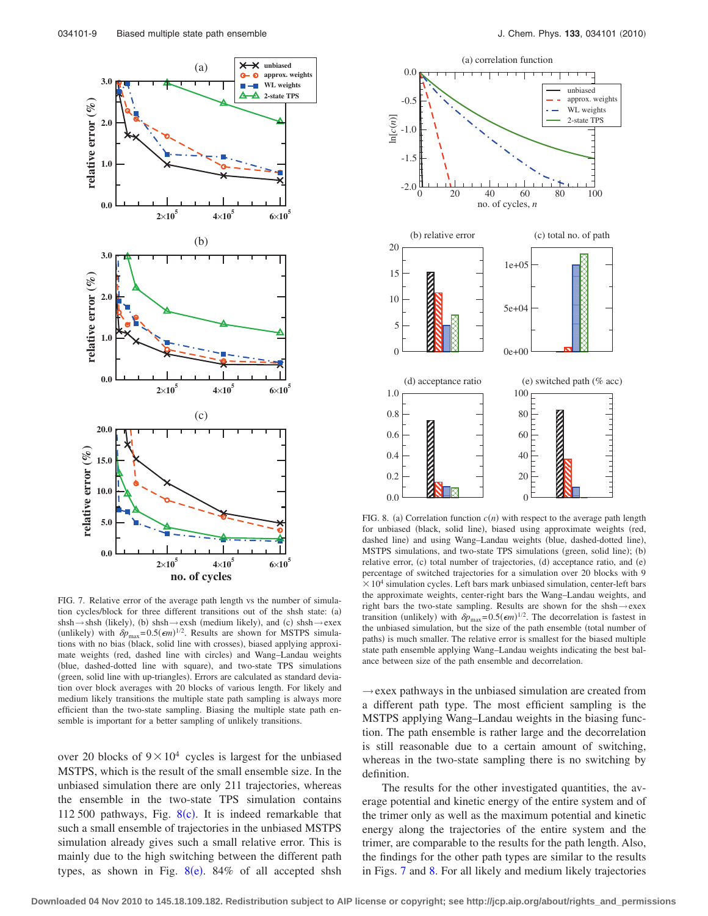<span id="page-9-0"></span>

FIG. 7. Relative error of the average path length vs the number of simulation cycles/block for three different transitions out of the shsh state: (a)  $shsh \rightarrow shsh$  (likely), (b) shsh $\rightarrow$ exsh (medium likely), and (c) shsh $\rightarrow$ exex (unlikely) with  $\delta p_{\text{max}} = 0.5 \, (\epsilon m)^{1/2}$ . Results are shown for MSTPS simulations with no bias (black, solid line with crosses), biased applying approximate weights (red, dashed line with circles) and Wang–Landau weights (blue, dashed-dotted line with square), and two-state TPS simulations (green, solid line with up-triangles). Errors are calculated as standard deviation over block averages with 20 blocks of various length. For likely and medium likely transitions the multiple state path sampling is always more efficient than the two-state sampling. Biasing the multiple state path ensemble is important for a better sampling of unlikely transitions.

over 20 blocks of  $9 \times 10^4$  cycles is largest for the unbiased MSTPS, which is the result of the small ensemble size. In the unbiased simulation there are only 211 trajectories, whereas the ensemble in the two-state TPS simulation contains 112 500 pathways, Fig.  $8(c)$  $8(c)$ . It is indeed remarkable that such a small ensemble of trajectories in the unbiased MSTPS simulation already gives such a small relative error. This is mainly due to the high switching between the different path types, as shown in Fig.  $8(e)$  $8(e)$ .  $84\%$  of all accepted shsh

<span id="page-9-1"></span>

FIG. 8. (a) Correlation function  $c(n)$  with respect to the average path length for unbiased (black, solid line), biased using approximate weights (red, dashed line) and using Wang–Landau weights (blue, dashed-dotted line), MSTPS simulations, and two-state TPS simulations (green, solid line); (b) relative error, (c) total number of trajectories, (d) acceptance ratio, and (e) percentage of switched trajectories for a simulation over 20 blocks with 9  $\times$  10<sup>4</sup> simulation cycles. Left bars mark unbiased simulation, center-left bars the approximate weights, center-right bars the Wang–Landau weights, and right bars the two-state sampling. Results are shown for the shsh $\rightarrow$ exex transition (unlikely) with  $\delta p_{\text{max}} = 0.5 \, (\epsilon m)^{1/2}$ . The decorrelation is fastest in the unbiased simulation, but the size of the path ensemble (total number of paths is much smaller. The relative error is smallest for the biased multiple state path ensemble applying Wang–Landau weights indicating the best balance between size of the path ensemble and decorrelation.

 $\rightarrow$ exex pathways in the unbiased simulation are created from a different path type. The most efficient sampling is the MSTPS applying Wang–Landau weights in the biasing function. The path ensemble is rather large and the decorrelation is still reasonable due to a certain amount of switching, whereas in the two-state sampling there is no switching by definition.

The results for the other investigated quantities, the average potential and kinetic energy of the entire system and of the trimer only as well as the maximum potential and kinetic energy along the trajectories of the entire system and the trimer, are comparable to the results for the path length. Also, the findings for the other path types are similar to the results in Figs. [7](#page-9-0) and [8.](#page-9-1) For all likely and medium likely trajectories